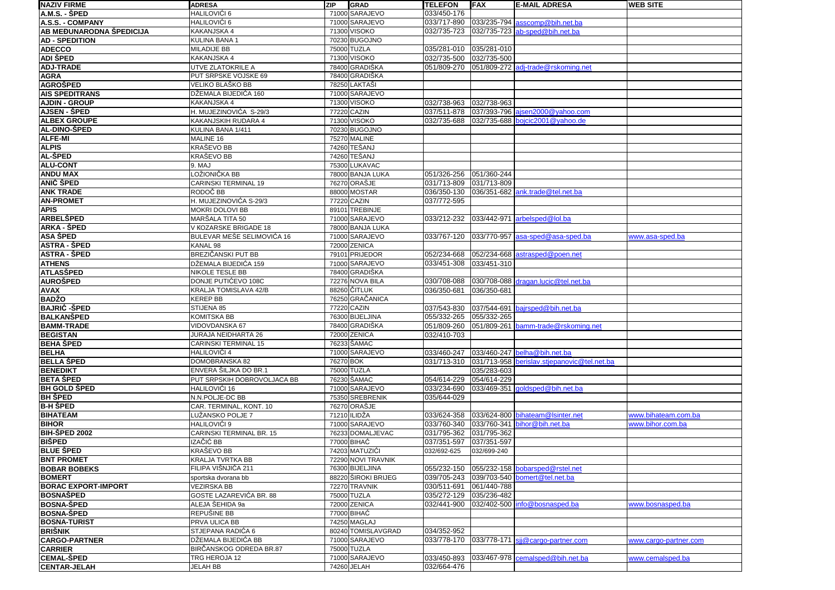| <b>NAZIV FIRME</b>                   | <b>ADRESA</b>                    | <b>ZIP</b> | GRAD                         | <b>TELEFON</b>             | <b>IFAX</b> | <b>E-MAIL ADRESA</b>                        | <b>WEB SITE</b>       |
|--------------------------------------|----------------------------------|------------|------------------------------|----------------------------|-------------|---------------------------------------------|-----------------------|
| A.M.S. - ŠPED                        | HALILOVIĆI 6                     |            | 71000 SARAJEVO               | 033/450-176                |             |                                             |                       |
| A.S.S. - COMPANY                     | HALILOVIĆI 6                     |            | 71000 SARAJEVO               | 033/717-890                |             | 033/235-794 asscomp@bih.net.ba              |                       |
| AB MEĐUNARODNA ŠPEDICIJA             | KAKANJSKA 4                      |            | 71300 VISOKO                 | 032/735-723                |             | 032/735-723 ab-sped@bih.net.ba              |                       |
| <b>AD - SPEDITION</b>                | KULINA BANA 1                    |            | 70230 BUGOJNO                |                            |             |                                             |                       |
| <b>ADECCO</b>                        | MILADIJE BB                      |            | 75000 TUZLA                  | 035/281-010                | 035/281-010 |                                             |                       |
| ADI ŠPED                             | KAKANJSKA 4                      |            | 71300 VISOKO                 | 032/735-500                | 032/735-500 |                                             |                       |
| <b>ADJ-TRADE</b>                     | UTVE ZLATOKRILE A                |            | 78400 GRADIŠKA               | 051/809-270                |             | 051/809-272 adj-trade@rskoming.net          |                       |
| <b>AGRA</b>                          | PUT SRPSKE VOJSKE 69             |            | 78400 GRADIŠKA               |                            |             |                                             |                       |
| <b>AGROŠPED</b>                      | VELIKO BLAŠKO BB                 |            | 78250 LAKTAŠI                |                            |             |                                             |                       |
| <b>AIS SPEDITRANS</b>                | DŽEMALA BIJEDIĆA 160             |            | 71000 SARAJEVO               |                            |             |                                             |                       |
| <b>AJDIN - GROUP</b>                 | KAKANJSKA 4                      |            | 71300 VISOKO                 | 032/738-963                | 032/738-963 |                                             |                       |
| <b>AJSEN - ŠPED</b>                  | H. MUJEZINOVIĆA S-29/3           |            | 77220 CAZIN                  | 037/511-878                |             | 037/393-796 ajsen2000@yahoo.com             |                       |
| <b>ALBEX GROUPE</b>                  | KAKANJSKIH RUDARA 4              |            | 71300 VISOKO                 | 032/735-688                |             | 032/735-688 bojcic2001@yahoo.de             |                       |
| AL-DINO-ŠPED                         | KULINA BANA 1/411                |            | 70230 BUGOJNO                |                            |             |                                             |                       |
| ALFE-MI                              | MALINE 16                        |            | 75270 MALINE                 |                            |             |                                             |                       |
| <b>ALPIS</b>                         | KRAŠEVO BB                       |            | 74260 TEŠANJ<br>74260 TEŠANJ |                            |             |                                             |                       |
| AL-ŠPED<br><b>ALU-CONT</b>           | KRAŠEVO BB<br>9. MAJ             |            |                              |                            |             |                                             |                       |
|                                      |                                  |            | 75300 LUKAVAC                |                            |             |                                             |                       |
| <b>ANDU MAX</b>                      | LOŽIONIČKA BB                    |            | 78000 BANJA LUKA             | 051/326-256                | 051/360-244 |                                             |                       |
| <b>ANIĆ ŠPED</b>                     | CARINSKI TERMINAL 19<br>RODOČ BB |            | 76270 ORAŠJE                 | 031/713-809                | 031/713-809 |                                             |                       |
| <b>ANK TRADE</b><br><b>AN-PROMET</b> | H. MUJEZINOVIĆA S-29/3           |            | 88000 MOSTAR<br>77220 CAZIN  | 036/350-130<br>037/772-595 |             | 036/351-682 ank.trade@tel.net.ba            |                       |
| <b>APIS</b>                          | MOKRI DOLOVI BB                  |            | 89101 TREBINJE               |                            |             |                                             |                       |
| <b>ARBELŠPED</b>                     | MARŠALA TITA 50                  |            | 71000 SARAJEVO               | 033/212-232                |             | 033/442-971 arbelsped@lol.ba                |                       |
| <b>ARKA - ŠPED</b>                   | V KOZARSKE BRIGADE 18            |            | 78000 BANJA LUKA             |                            |             |                                             |                       |
| <b>ASA ŠPED</b>                      | BULEVAR MEŠE SELIMOVIĆA 16       |            | 71000 SARAJEVO               | 033/767-120                |             | 033/770-957 asa-sped@asa-sped.ba            | www.asa-sped.ba       |
| <b>ASTRA - ŠPED</b>                  | KANAL 98                         |            | 72000 ZENICA                 |                            |             |                                             |                       |
| <b>ASTRA - ŠPED</b>                  | BREZIČANSKI PUT BB               |            | 79101 PRIJEDOR               | 052/234-668                |             | 052/234-668 astrasped@poen.net              |                       |
| <b>ATHENS</b>                        | DŽEMALA BIJEDIĆA 159             |            | 71000 SARAJEVO               | 033/451-308                | 033/451-310 |                                             |                       |
| ATLASŠPED                            | NIKOLE TESLE BB                  |            | 78400 GRADIŠKA               |                            |             |                                             |                       |
| <b>AUROŠPED</b>                      | DONJE PUTIĆEVO 108C              |            | 72276 NOVA BILA              | 030/708-088                |             | 030/708-088 dragan.lucic@tel.net.ba         |                       |
| <b>AVAX</b>                          | KRALJA TOMISLAVA 42/B            |            | 88260 ČITLUK                 | 036/350-681                | 036/350-681 |                                             |                       |
| <b>BADŽO</b>                         | <b>KEREP BB</b>                  |            | 76250 GRAČANICA              |                            |             |                                             |                       |
| <b>BAJRIĆ - ŠPED</b>                 | STIJENA 85                       |            | 77220 CAZIN                  | 037/543-830                | 037/544-691 | bajrsped@bih.net.ba                         |                       |
| BALKANŠPED                           | KOMITSKA BB                      |            | 76300 BIJELJINA              | 055/332-265                | 055/332-265 |                                             |                       |
| <b>BAMM-TRADE</b>                    | VIDOVDANSKA 67                   |            | 78400 GRADIŠKA               | 051/809-260                | 051/809-261 | bamm-trade@rskoming.net                     |                       |
| <b>BEGISTAN</b>                      | JURAJA NEIDHARTA 26              |            | 72000 ZENICA                 | 032/410-703                |             |                                             |                       |
| <b>BEHA ŠPED</b>                     | CARINSKI TERMINAL 15             |            | 76233 ŠAMAC                  |                            |             |                                             |                       |
| <b>BELHA</b>                         | HALILOVIĆI 4                     |            | 71000 SARAJEVO               | 033/460-247                |             | 033/460-247 belha@bih.net.ba                |                       |
| <b>BELLA ŠPED</b>                    | DOMOBRANSKA 82                   | 76270 BOK  |                              | 031/713-310                |             | 031/713-958 berislav.stjepanovic@tel.net.ba |                       |
| <b>BENEDIKT</b>                      | ENVERA ŠILJKA DO BR.1            |            | 75000 TUZLA                  |                            | 035/283-603 |                                             |                       |
| <b>BETA ŠPED</b>                     | PUT SRPSKIH DOBROVOLJACA BB      |            | 76230 ŠAMAC                  | 054/614-229                | 054/614-229 |                                             |                       |
| <b>BH GOLD SPED</b>                  | HALILOVIĆI 16                    |            | 71000 SARAJEVO               | 033/234-690                |             | 033/469-351 goldsped@bih.net.ba             |                       |
| <b>BH ŠPED</b>                       | N.N.POLJE-DC BB                  |            | 75350 SREBRENIK              | 035/644-029                |             |                                             |                       |
| <b>B-H ŠPED</b>                      | CAR. TERMINAL, KONT. 10          |            | 76270 ORAŠJE                 |                            |             |                                             |                       |
| <b>BIHATEAM</b>                      | LUŽANSKO POLJE 7                 |            | 71210 ILIDŽA                 | 033/624-358                |             | 033/624-800 bihateam@lsinter.net            | www.bihateam.com.ba   |
| <b>BIHOR</b>                         | HALILOVIĆI 9                     |            | 71000 SARAJEVO               | 033/760-340                |             | 033/760-341 bihor@bih.net.ba                | www.bihor.com.ba      |
| BIH-ŠPED 2002                        | CARINSKI TERMINAL BR. 15         |            | 76233 DOMALJEVAC             | 031/795-362                | 031/795-362 |                                             |                       |
| <b>BIŠPED</b>                        | IZAČIĆ BB                        |            | 77000 BIHAĆ                  | 037/351-597                | 037/351-597 |                                             |                       |
| <b>BLUE SPED</b>                     | KRAŠEVO BB                       |            | 74203 MATUZIĆI               | 032/692-625                | 032/699-240 |                                             |                       |
| <b>BNT PROMET</b>                    | KRALJA TVRTKA BB                 |            | 72290 NOVI TRAVNIK           |                            |             |                                             |                       |
| <b>BOBAR BOBEKS</b>                  | FILIPA VIŠNJIĆA 211              |            | 76300 BIJELJINA              | 055/232-150                |             | 055/232-158 bobarsped@rstel.net             |                       |
| <b>BOMERT</b>                        | sportska dvorana bb              |            | 88220 ŠIROKI BRIJEG          | 039/705-243                |             | 039/703-540 bomert@tel.net.ba               |                       |
| <b>BORAC EXPORT-IMPORT</b>           | <b>VEZIRSKA BB</b>               |            | 72270 TRAVNIK                | 030/511-691                | 061/440-788 |                                             |                       |
| <b>BOSNASPED</b>                     | GOSTE LAZAREVIĆA BR. 88          |            | 75000 TUZLA                  | 035/272-129                | 035/236-482 |                                             |                       |
| <b>BOSNA-SPED</b>                    | ALEJA ŠEHIDA 9a                  |            | 72000 ZENICA                 | 032/441-900                |             | 032/402-500 info@bosnasped.ba               | www.bosnasped.ba      |
| <b>BOSNA-SPED</b>                    | REPUŠINE BB                      |            | 77000 BIHAĆ                  |                            |             |                                             |                       |
| <b>BOSNA-TURIST</b>                  | PRVA ULICA BB                    |            | 74250 MAGLAJ                 |                            |             |                                             |                       |
| <b>BRIŠNIK</b>                       | STJEPANA RADIĆA 6                |            | 80240 TOMISLAVGRAD           | 034/352-952                |             |                                             |                       |
| <b>CARGO-PARTNER</b>                 | DŽEMALA BIJEDIĆA BB              |            | 71000 SARAJEVO               | 033/778-170                |             | 033/778-171 sij@cargo-partner.com           | www.cargo-partner.com |
| <b>CARRIER</b>                       | BIRČANSKOG ODREDA BR.87          |            | 75000 TUZLA                  |                            |             |                                             |                       |
| <b>CEMAL-SPED</b>                    | TRG HEROJA 12                    |            | 71000 SARAJEVO               | 033/450-893                |             | 033/467-978 cemalsped@bih.net.ba            | www.cemalsped.ba      |
| <b>CENTAR-JELAH</b>                  | <b>JELAH BB</b>                  |            | 74260 JELAH                  | 032/664-476                |             |                                             |                       |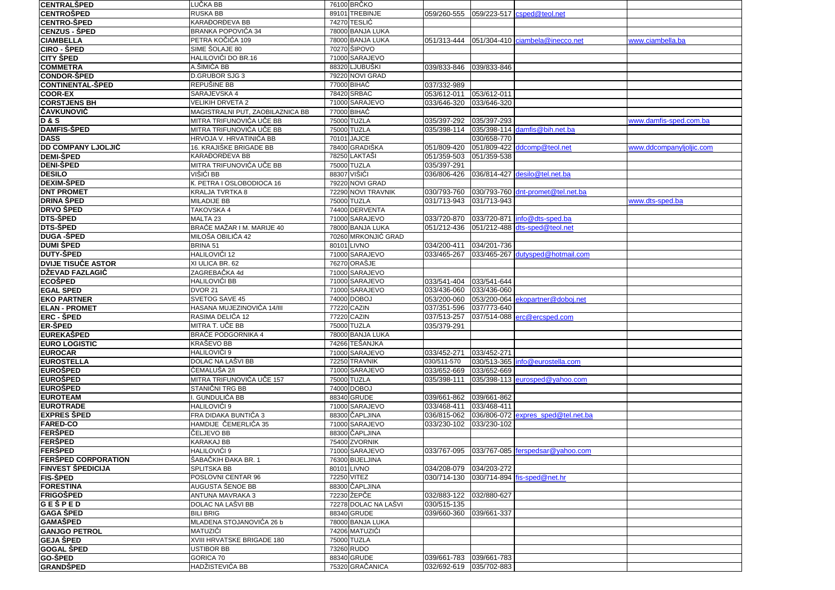| CENTRALŠPED                        | LUČKA BB                                     | 76100 BRČKO                   |                            |             |                                                 |                          |
|------------------------------------|----------------------------------------------|-------------------------------|----------------------------|-------------|-------------------------------------------------|--------------------------|
| <b>CENTROSPED</b>                  | <b>RUSKA BB</b>                              | 89101 TREBINJE                |                            |             | 059/260-555 059/223-517 csped@teol.net          |                          |
| <b>CENTRO-SPED</b>                 | KARAĐORĐEVA BB                               | 74270 TESLIĆ                  |                            |             |                                                 |                          |
| CENZUS - ŠPED                      | BRANKA POPOVIĆA 34                           | 78000 BANJA LUKA              |                            |             |                                                 |                          |
| <b>CIAMBELLA</b>                   | PETRA KOČIĆA 109                             | 78000 BANJA LUKA              | 051/313-444                |             | $051/304-410$ ciambela@inecco.net               | www.ciambella.ba         |
| <b>CIRO - ŠPED</b>                 | SIME ŠOLAJE 80                               | 70270 ŠIPOVO                  |                            |             |                                                 |                          |
| <b>CITY SPED</b>                   | HALILOVIĆI DO BR.16                          | 71000 SARAJEVO                |                            |             |                                                 |                          |
| <b>COMMETRA</b>                    | A.ŠIMIĆA BB                                  | 88320 LJUBUŠKI                | 039/833-846                | 039/833-846 |                                                 |                          |
| <b>CONDOR-ŠPED</b>                 | D.GRUBOR SJG 3                               | 79220 NOVI GRAD               |                            |             |                                                 |                          |
| <b>CONTINENTAL-ŠPED</b>            | REPUŠINE BB                                  | 77000 BIHAĆ                   | 037/332-989                |             |                                                 |                          |
| <b>COOR-EX</b>                     | SARAJEVSKA 4                                 | 78420 SRBAC                   | 053/612-011                | 053/612-011 |                                                 |                          |
| <b>CORSTJENS BH</b>                | <b>VELIKIH DRVETA 2</b>                      | 71000 SARAJEVO                | 033/646-320                | 033/646-320 |                                                 |                          |
| <b>ČAVKUNOVIĆ</b>                  | MAGISTRALNI PUT, ZAOBILAZNICA BB             | 77000 BIHAĆ                   |                            |             |                                                 |                          |
| <b>D&amp;S</b>                     | MITRA TRIFUNOVIĆA UČE BB                     | 75000 TUZLA                   | 035/397-292                | 035/397-293 |                                                 | www.damfis-sped.com.ba   |
| <b>DAMFIS-SPED</b>                 | MITRA TRIFUNOVIĆA UČE BB                     | 75000 TUZLA                   | 035/398-114                |             | 035/398-114 damfis@bih.net.ba                   |                          |
| <b>DASS</b>                        | HRVOJA V. HRVATINIĆA BB                      | 70101 JAJCE                   |                            | 030/658-770 |                                                 |                          |
| <b>DD COMPANY LJOLJIĆ</b>          | 16. KRAJIŠKE BRIGADE BB                      | 78400 GRADIŠKA                | 051/809-420                |             | 051/809-422 ddcomp@teol.net                     | www.ddcompanylioliic.com |
| <b>DEMI-ŠPED</b>                   | KARAĐORĐEVA BB                               | 78250 LAKTASI                 | 051/359-503                | 051/359-538 |                                                 |                          |
| <b>DENI-ŠPED</b>                   | MITRA TRIFUNOVIĆA UČE BB                     | 75000 TUZLA                   | 035/397-291                |             |                                                 |                          |
| <b>DESILO</b>                      | VIŠIĆI BB                                    | 88307 VIŠIĆI                  | 036/806-426                |             | 036/814-427 desilo@tel.net.ba                   |                          |
| <b>DEXIM-SPED</b>                  | K. PETRA I OSLOBODIOCA 16                    | 79220 NOVI GRAD               |                            |             |                                                 |                          |
| <b>DNT PROMET</b>                  | KRALJA TVRTKA 8                              | 72290 NOVI TRAVNIK            | 030/793-760                |             | 030/793-760 dnt-promet@tel.net.ba               |                          |
| <b>DRINA ŠPED</b>                  | <b>MILADIJE BB</b>                           | 75000 TUZLA                   | 031/713-943                | 031/713-943 |                                                 | www.dts-sped.ba          |
| <b>DRVO ŠPED</b>                   | TAKOVSKA 4                                   | 74400 DERVENTA                |                            |             |                                                 |                          |
| DTS-ŠPED                           | MALTA <sub>23</sub>                          | 71000 SARAJEVO                | 033/720-870                |             | $033/720-871$ $\frac{\ln 6}{\ln 6}$ dts-sped ba |                          |
| DTS-ŠPED                           | BRAĆE MAŽAR I M. MARIJE 40                   | 78000 BANJA LUKA              | 051/212-436                |             | 051/212-488 dts-sped@teol.net                   |                          |
| <b>DUGA -SPED</b>                  | MILOŠA OBILIĆA 42                            | 70260 MRKONJIĆ GRAD           |                            |             |                                                 |                          |
| <b>DUMI ŠPED</b>                   | BRINA 51                                     | 80101 LIVNO                   | 034/200-411                | 034/201-736 |                                                 |                          |
| <b>DUTY-ŠPED</b>                   | HALILOVIĆI 12                                | 71000 SARAJEVO                | 033/465-267                | 033/465-267 | dutysped@hotmail.com                            |                          |
| <b>DVIJE TISUĆE ASTOR</b>          | XI ULICA BR. 62                              | 76270 ORAŠJE                  |                            |             |                                                 |                          |
| DŽEVAD FAZLAGIĆ                    | ZAGREBAČKA 4d                                | 71000 SARAJEVO                |                            |             |                                                 |                          |
| <b>ECOŠPED</b>                     | HALILOVIĆI BB                                | 71000 SARAJEVO                | 033/541-404                | 033/541-644 |                                                 |                          |
| <b>EGAL SPED</b>                   | <b>DVOR 21</b>                               | 71000 SARAJEVO                | 033/436-060                | 033/436-060 |                                                 |                          |
| <b>EKO PARTNER</b>                 | SVETOG SAVE 45                               | 74000 DOBOJ                   | 053/200-060                |             | 053/200-064 ekopartner@doboj.net                |                          |
| <b>ELAN - PROMET</b>               | HASANA MUJEZINOVIĆA 14/III                   | 77220 CAZIN                   | 037/351-596                | 037/773-640 |                                                 |                          |
| <b>ERC - SPED</b>                  | RASIMA DELIĆA 12                             | 77220 CAZIN                   | 037/513-257                | 037/514-088 | erc@ercsped.com                                 |                          |
| <b>ER-ŠPED</b>                     | MITRA T. UČE BB                              | 75000 TUZLA                   | 035/379-291                |             |                                                 |                          |
| <b>EUREKASPED</b>                  | <b>BRAĆE PODGORNIKA 4</b>                    | 78000 BANJA LUKA              |                            |             |                                                 |                          |
| <b>EURO LOGISTIC</b>               | KRAŠEVO BB                                   | 74266 TEŠANJKA                |                            |             |                                                 |                          |
| <b>EUROCAR</b>                     | HALILOVIĆI 9                                 | 71000 SARAJEVO                | 033/452-271                | 033/452-271 |                                                 |                          |
| <b>EUROSTELLA</b>                  | DOLAC NA LAŠVI BB<br>ĆEMALUŠA 2/I            | 72250 TRAVNIK                 | 030/511-570<br>033/652-669 | 033/652-669 | 030/513-365 info@eurostella.com                 |                          |
| <b>EUROSPED</b>                    |                                              | 71000 SARAJEVO<br>75000 TUZLA | 035/398-111                |             |                                                 |                          |
| <b>EUROSPED</b><br><b>EUROŠPED</b> | MITRA TRIFUNOVIĆA UČE 157<br>STANIČNI TRG BB | 74000 DOBOJ                   |                            | 035/398-113 | eurosped@yahoo.com                              |                          |
| <b>EUROTEAM</b>                    | <b>GUNDULIĆA BB</b>                          | 88340 GRUDE                   | 039/661-862                | 039/661-862 |                                                 |                          |
| <b>EUROTRADE</b>                   | HALILOVIĆI 9                                 | 71000 SARAJEVO                | 033/468-411                | 033/468-411 |                                                 |                          |
| <b>EXPRES SPED</b>                 | FRA DIDAKA BUNTIĆA 3                         | 88300 ČAPLJINA                | 036/815-062                |             | 036/806-072 expres sped@tel.net.ba              |                          |
| <b>FARED-CO</b>                    | HAMDIJE ČEMERLIĆA 35                         | 71000 SARAJEVO                | 033/230-102                | 033/230-102 |                                                 |                          |
| <b>IFERŠPED</b>                    | ČELJEVO BB                                   | 88300 ČAPLJINA                |                            |             |                                                 |                          |
| FERŠPED                            | <b>KARAKAJ BB</b>                            | 75400 ZVORNIK                 |                            |             |                                                 |                          |
| <b> FERŜPED</b>                    | HALILOVIĆI 9                                 | 71000 SARAJEVO                |                            |             | 033/767-095 033/767-085 ferspedsar@yahoo.com    |                          |
| FERŠPED CORPORATION                | ŠABAČKIH ĐAKA BR. 1                          | 76300 BIJELJINA               |                            |             |                                                 |                          |
| <b>FINVEST ŠPEDICIJA</b>           | SPLITSKA BB                                  | 80101 LIVNO                   | 034/208-079                | 034/203-272 |                                                 |                          |
| <b>FIS-ŠPED</b>                    | POSLOVNI CENTAR 96                           | 72250 VITEZ                   | 030/714-130                |             | 030/714-894 fis-sped@net.hr                     |                          |
| <b>FORESTINA</b>                   | AUGUSTA ŠENOE BB                             | 88300 ČAPLJINA                |                            |             |                                                 |                          |
| <b>FRIGOŠPED</b>                   | ANTUNA MAVRAKA 3                             | 72230 ŽEPČE                   | 032/883-122                | 032/880-627 |                                                 |                          |
| <b>GEŠPED</b>                      | DOLAC NA LAŠVI BB                            | 72278 DOLAC NA LAŠVI          | 030/515-135                |             |                                                 |                          |
| <b>GAGA ŠPED</b>                   | <b>BILI BRIG</b>                             | 88340 GRUDE                   | 039/660-360                | 039/661-337 |                                                 |                          |
| <b>GAMAŠPED</b>                    | MLADENA STOJANOVIĆA 26 b                     | 78000 BANJA LUKA              |                            |             |                                                 |                          |
| <b>GANJGO PETROL</b>               | MATUZIĆI                                     | 74206 MATUZIĆI                |                            |             |                                                 |                          |
| <b>GEJA ŠPED</b>                   | XVIII HRVATSKE BRIGADE 180                   | 75000 TUZLA                   |                            |             |                                                 |                          |
| GOGAL ŚPED                         | <b>USTIBOR BB</b>                            | 73260 RUDO                    |                            |             |                                                 |                          |
| <b>GO-ŠPED</b>                     | GORICA 70                                    | 88340 GRUDE                   | 039/661-783                | 039/661-783 |                                                 |                          |
| <b>GRANDŠPED</b>                   | HADŽISTEVIĆA BB                              | 75320 GRAČANICA               | 032/692-619 035/702-883    |             |                                                 |                          |
|                                    |                                              |                               |                            |             |                                                 |                          |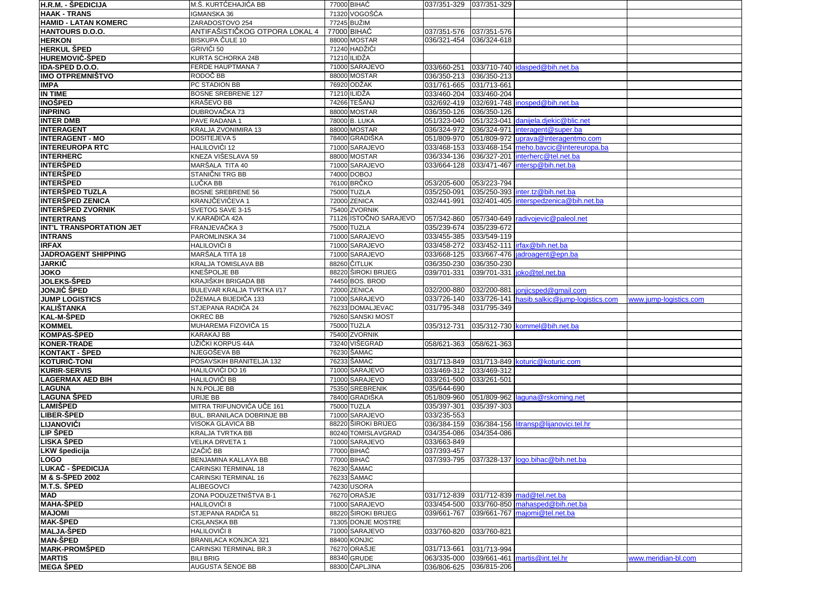| <b>H.R.M. - ŠPEDICIJA</b>         | M.Š. KURTĆEHAJIĆA BB                 | 77000 BIHAĆ                   | 037/351-329  037/351-329   |                            |                                        |                        |
|-----------------------------------|--------------------------------------|-------------------------------|----------------------------|----------------------------|----------------------------------------|------------------------|
| <b>HAAK - TRANS</b>               | <b>IGMANSKA 36</b>                   | 71320 VOGOŠĆA                 |                            |                            |                                        |                        |
| <b>HAMID - LATAN KOMERC</b>       | ZARADOSTOVO 254                      | 77245 BUŽIM                   |                            |                            |                                        |                        |
| HANTOURS D.O.O.                   | ANTIFAŠISTIČKOG OTPORA LOKAL 4       | 77000 BIHAĆ                   | 037/351-576 037/351-576    |                            |                                        |                        |
| <b>HERKON</b>                     | <b>BISKUPA ČULE 10</b>               | 88000 MOSTAR                  | 036/321-454                | 036/324-618                |                                        |                        |
| <b>HERKUL ŠPED</b>                | GRIVIĆI 50                           | 71240 HADŽIĆI                 |                            |                            |                                        |                        |
| <b>HUREMOVIĆ-ŠPED</b>             | KURTA SCHORKA 24B                    | 71210 ILIDŽA                  |                            |                            |                                        |                        |
| IDA-SPED D.O.O.                   | FERDE HAUPTMANA 7                    | 71000 SARAJEVO                | 033/660-251                |                            | 033/710-740 dasped@bih.net.ba          |                        |
| <b>IMO OTPREMNIŠTVO</b>           | RODOČ BB                             | 88000 MOSTAR                  | 036/350-213                | 036/350-213                |                                        |                        |
|                                   | PC STADION BB                        | 76920 ODŽAK                   | 031/761-665                | 031/713-661                |                                        |                        |
| <b>IMPA</b><br><b>IN TIME</b>     | <b>BOSNE SREBRENE 127</b>            | 71210 ILIDŽA                  | 033/460-204                | 033/460-204                |                                        |                        |
|                                   |                                      |                               |                            |                            |                                        |                        |
| <b>INOŠPED</b>                    | KRAŠEVO BB                           | 74266 TEŠANJ                  | 032/692-419                |                            | 032/691-748   inosped@bih.net.ba       |                        |
| <b>INPRING</b>                    | DUBROVAČKA 73                        | 88000 MOSTAR                  | 036/350-126                | 036/350-126                |                                        |                        |
| <b>INTER DMB</b>                  | PAVE RADANA 1                        | 78000 B. LUKA                 | 051/323-040                |                            | 051/323-041 danijela.djekic@blic.net   |                        |
| <b>INTERAGENT</b>                 | KRALJA ZVONIMIRA 13                  | 88000 MOSTAR                  | 036/324-972                | 036/324-971                | interagent@super.ba                    |                        |
| <b>INTERAGENT - MO</b>            | DOSITEJEVA 5                         | 78400 GRADIŠKA                | 051/809-970                | 051/809-972                | uprava@interagentmo.com                |                        |
| <b>INTEREUROPA RTC</b>            | HALILOVIĆI 12                        | 71000 SARAJEVO                | 033/468-153                | 033/468-154                | meho.bavcic@intereuropa.ba             |                        |
| <b>INTERHERC</b>                  | KNEZA VIŠESLAVA 59                   | 88000 MOSTAR                  | 036/334-136                | 036/327-201                | interherc@tel.net.ba                   |                        |
| <b>INTERŠPED</b>                  | MARŠALA TITA 40                      | 71000 SARAJEVO                | 033/664-128                | 033/471-467                | intersp@bih.net.ba                     |                        |
| <b>INTERŠPED</b>                  | STANIČNI TRG BB                      | 74000 DOBOJ                   |                            |                            |                                        |                        |
| <b>INTERSPED</b>                  | LUČKA BB                             | 76100 BRČKO                   | 053/205-600                | 053/223-794                |                                        |                        |
| <b>INTERSPED TUZLA</b>            | <b>BOSNE SREBRENE 56</b>             | 75000 TUZLA                   | 035/250-091                |                            | 035/250-393 inter.tz@bih.net.ba        |                        |
| <b>INTERŠPED ZENICA</b>           | KRANJČEVIĆEVA 1                      | 72000 ZENICA                  | 032/441-991                |                            | 032/401-405 interspedzenica@bih.net.ba |                        |
| <b>INTERŠPED ZVORNIK</b>          | SVETOG SAVE 3-15                     | 75400 ZVORNIK                 |                            |                            |                                        |                        |
| <b>INTERTRANS</b>                 | V.KARAĐIĆA 42A                       | 71126 ISTOČNO SARAJEVO        | 057/342-860                |                            | 057/340-649 radivojevic@paleol.net     |                        |
| INT'L TRANSPORTATION JET          | FRANJEVAČKA 3                        | 75000 TUZLA                   | 035/239-674                | 035/239-672                |                                        |                        |
| <b>INTRANS</b>                    | PAROMLINSKA 34                       | 71000 SARAJEVO                | 033/455-385                | 033/549-119                |                                        |                        |
| <b>IRFAX</b>                      | HALILOVIĆI 8                         | 71000 SARAJEVO                | 033/458-272                |                            | 033/452-111   irfax@bih.net.ba         |                        |
| <b>JADROAGENT SHIPPING</b>        | MARŠALA TITA 18                      | 71000 SARAJEVO                | 033/668-125                |                            | 033/667-476 jadroagent@epn.ba          |                        |
| <b>JARKIC</b>                     | KRALJA TOMISLAVA BB                  | 88260 ČITLUK                  | 036/350-230                | 036/350-230                |                                        |                        |
| JOKO                              | <b>KNEŠPOLJE BB</b>                  | 88220 ŠIROKI BRIJEG           | 039/701-331                |                            | 039/701-331 joko@tel.net.ba            |                        |
| JOLEKS-ŠPED                       | KRAJIŠKIH BRIGADA BB                 | 74450 BOS. BROD               |                            |                            |                                        |                        |
|                                   |                                      |                               |                            |                            |                                        |                        |
|                                   |                                      |                               |                            |                            |                                        |                        |
| <b>JONJIĆ ŠPED</b>                | BULEVAR KRALJA TVRTKA I/17           | 72000 ZENICA                  | 032/200-880                | 032/200-881                | jonjicsped@gmail.com                   |                        |
| <b>JUMP LOGISTICS</b>             | DŽEMALA BIJEDIĆA 133                 | 71000 SARAJEVO                | 033/726-140                | 033/726-141                | hasib.salkic@jump-logistics.com        | www.jump-logistics.com |
| <b>KALIŠTANKA</b>                 | STJEPANA RADIĆA 24                   | 76233 DOMALJEVAC              | 031/795-348                | 031/795-349                |                                        |                        |
| <b>KAL-M-ŠPED</b>                 | OKREC BB                             | 79260 SANSKI MOST             |                            |                            |                                        |                        |
| <b>KOMMEL</b>                     | MUHAREMA FIZOVIĆA 15                 | 75000 TUZLA                   | 035/312-731                |                            | 035/312-730 kommel@bih.net.ba          |                        |
| <b>KOMPAS-ŠPED</b>                | KARAKAJ BB                           | 75400 ZVORNIK                 |                            |                            |                                        |                        |
| <b>KONER-TRADE</b>                | UŽIČKI KORPUS 44A                    | 73240 VIŠEGRAD                | 058/621-363                | 058/621-363                |                                        |                        |
| <b>KONTAKT - SPED</b>             | NJEGOŠEVA BB                         | 76230 ŠAMAC                   |                            |                            |                                        |                        |
| <b>KOTURIĆ-TONI</b>               | POSAVSKIH BRANITELJA 132             | 76233 ŠAMAC                   | 031/713-849                |                            | 031/713-849 koturic@koturic.com        |                        |
| <b>KURIR-SERVIS</b>               | HALILOVIĆI DO 16                     | 71000 SARAJEVO                | 033/469-312                | 033/469-312                |                                        |                        |
| <b>LAGERMAX AED BIH</b>           | HALILOVIĆI BB                        | 71000 SARAJEVO                | 033/261-500                | 033/261-501                |                                        |                        |
| <b>LAGUNA</b>                     | N.N.POLJE BB                         | 75350 SREBRENIK               | 035/644-690                |                            |                                        |                        |
| <b>LAGUNA ŠPED</b>                | URIJE BB                             | 78400 GRADIŠKA                | 051/809-960                | 051/809-962                | laguna@rskoming.net                    |                        |
| LAMIŠPED                          | MITRA TRIFUNOVIĆA UČE 161            | 75000 TUZLA                   | 035/397-301                | 035/397-303                |                                        |                        |
| <b>LIBER-SPED</b>                 | BUL. BRANILACA DOBRINJE BB           | 71000 SARAJEVO                | 033/235-553                |                            |                                        |                        |
| <b>LIJANOVIĆI</b>                 | VISOKA GLAVICA BB                    | 88220 ŠIROKI BRIJEG           | 036/384-159                | 036/384-156                | litransp@lijanovici.tel.hr             |                        |
| LIP ŠPED                          | KRALJA TVRTKA BB                     | 80240 TOMISLAVGRAD            | 034/354-086                | 034/354-086                |                                        |                        |
| <b>LISKA ŠPED</b>                 | VELIKA DRVETA 1                      | 71000 SARAJEVO                | 033/663-849                |                            |                                        |                        |
| LKW špedicija                     | IZAČIĆ BB                            | 77000 BIHAĆ                   | 037/393-457                |                            |                                        |                        |
| LOGO                              | BENJAMINA KALLAYA BB                 | 77000 BIHAĆ                   | 037/393-795                |                            | 037/328-137 logo.bihac@bih.net.ba      |                        |
| LUKAČ - ŠPEDICIJA                 | CARINSKI TERMINAL 18                 | 76230 ŠAMAC                   |                            |                            |                                        |                        |
| <b>M &amp; S-SPED 2002</b>        | CARINSKI TERMINAL 16                 | 76233 ŠAMAC                   |                            |                            |                                        |                        |
| M.T.S. ŠPED                       | <b>ALIBEGOVCI</b>                    | 74230 USORA                   |                            |                            |                                        |                        |
|                                   |                                      |                               |                            |                            |                                        |                        |
| <b>MAD</b>                        | ZONA PODUZETNIŠTVA B-1               | 76270 ORAŠJE                  | 031/712-839                |                            | 031/712-839 mad@tel.net.ba             |                        |
| <b>MAHA-ŠPED</b>                  | HALILOVIĆI 8                         | 71000 SARAJEVO                | 033/454-500                |                            | 033/760-850 mahasped@bih.net.ba        |                        |
| <b>IMAJOMI</b>                    | STJEPANA RADIĆA 51                   | 88220 ŠIROKI BRIJEG           | 039/661-767                |                            | 039/661-767 majomi@tel.net.ba          |                        |
| <b>MAK-ŠPED</b>                   | <b>CIGLANSKA BB</b>                  | 71305 DONJE MOSTRE            |                            |                            |                                        |                        |
| <b>MALJA-ŠPED</b>                 | HALILOVIĆI 8                         | 71000 SARAJEVO                | 033/760-820                | 033/760-821                |                                        |                        |
| <b>MAN-ŠPED</b>                   | BRANILACA KONJICA 321                | 88400 KONJIC                  |                            |                            |                                        |                        |
| <b>MARK-PROMŠPED</b>              | CARINSKI TERMINAL BR.3               | 76270 ORAŠJE                  | 031/713-661                | 031/713-994                |                                        |                        |
| <b>MARTIS</b><br><b>MEGA ŠPED</b> | <b>BILI BRIG</b><br>AUGUSTA ŠENOE BB | 88340 GRUDE<br>88300 ČAPLJINA | 063/335-000<br>036/806-625 | 039/661-461<br>036/815-206 | martis@int.tel.hr                      | www.meridian-bl.com    |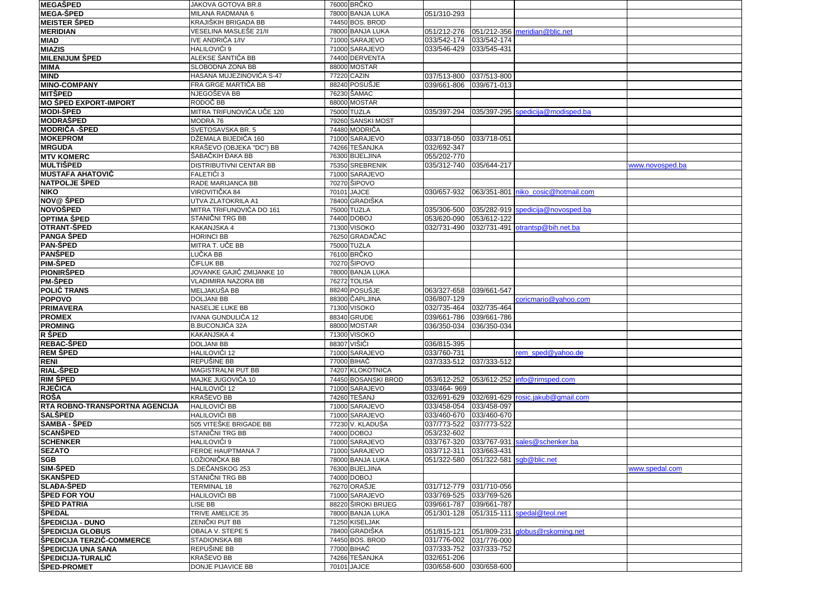| <b>MEGAŠPED</b>                         | JAKOVA GOTOVA BR.8              | 76000 BRČKO                   |                            |                          |                                           |                 |
|-----------------------------------------|---------------------------------|-------------------------------|----------------------------|--------------------------|-------------------------------------------|-----------------|
| <b>MEGA-ŠPED</b>                        | MILANA RADMANA 6                | 78000 BANJA LUKA              | 051/310-293                |                          |                                           |                 |
| <b>MEISTER ŠPED</b>                     | KRAJIŠKIH BRIGADA BB            | 74450 BOS. BROD               |                            |                          |                                           |                 |
| <b>MERIDIAN</b>                         | VESELINA MASLEŠE 21/II          | 78000 BANJA LUKA              |                            |                          | 051/212-276 051/212-356 meridian@blic.net |                 |
| <b>MIAD</b>                             | IVE ANDRIĆA 1/IV                | 71000 SARAJEVO                | 033/542-174                | 033/542-174              |                                           |                 |
| <b>MIAZIS</b>                           | HALILOVIĆI 9                    | 71000 SARAJEVO                | 033/546-429                | 033/545-431              |                                           |                 |
| <b>MILENIJUM ŠPED</b>                   | ALEKSE ŠANTIĆA BB               | 74400 DERVENTA                |                            |                          |                                           |                 |
| <b>MIMA</b>                             | SLOBODNA ZONA BB                | 88000 MOSTAR                  |                            |                          |                                           |                 |
| <b>MIND</b>                             | HASANA MUJEZINOVIĆA S-47        | 77220 CAZIN                   | 037/513-800                | 037/513-800              |                                           |                 |
| <b>MINO-COMPANY</b>                     | FRA GRGE MARTIĆA BB             | 88240 POSUŠJE                 | 039/661-806                | 039/671-013              |                                           |                 |
| <b>MITŠPED</b>                          | NJEGOŠEVA BB                    | 76230 ŠAMAC                   |                            |                          |                                           |                 |
| MO ŠPED EXPORT-IMPORT                   | RODOČ BB                        | 88000 MOSTAR                  |                            |                          |                                           |                 |
| <b>MODI-ŠPED</b>                        | MITRA TRIFUNOVIĆA UČE 120       | 75000 TUZLA                   | 035/397-294                |                          | 035/397-295 spedicija@modisped.ba         |                 |
| <b>MODRAŠPED</b>                        | MODRA 76                        | 79260 SANSKI MOST             |                            |                          |                                           |                 |
| <b>MODRIČA -ŠPED</b>                    | SVETOSAVSKA BR. 5               | 74480 MODRIČA                 |                            |                          |                                           |                 |
| <b>MOKEPROM</b>                         | DŽEMALA BIJEDIĆA 160            | 71000 SARAJEVO                | 033/718-050                | 033/718-051              |                                           |                 |
| <b>MRGUDA</b>                           | KRAŠEVO (OBJEKA "DC") BB        | 74266 TEŠANJKA                | 032/692-347                |                          |                                           |                 |
| <b>MTV KOMERC</b>                       | ŠABAČKIH ĐAKA BB                | 76300 BIJELJINA               | 055/202-770                |                          |                                           |                 |
| <b>MULTIŠPED</b>                        | DISTRIBUTIVNI CENTAR BB         | 75350 SREBRENIK               | 035/312-740 035/644-217    |                          |                                           | www.novosped.ba |
| <b>MUSTAFA AHATOVIĆ</b>                 | FALETIĆI 3                      | 71000 SARAJEVO                |                            |                          |                                           |                 |
| <b>NATPOLJE ŠPED</b>                    | RADE MARIJANCA BB               | 70270 SIPOVO                  |                            |                          |                                           |                 |
| <b>NIKO</b>                             | VIROVITIČKA 84                  | 70101 JAJCE                   | 030/657-932                |                          | 063/351-801 niko cosic@hotmail.com        |                 |
| NOV@ ŠPED                               | UTVA ZLATOKRILA A1              | 78400 GRADIŠKA                |                            |                          |                                           |                 |
| <b>NOVOŠPED</b>                         | MITRA TRIFUNOVIĆA DO 161        | 75000 TUZLA                   | 035/306-500                |                          | 035/282-919 spedicija@novosped.ba         |                 |
| <b>OPTIMA ŠPED</b>                      | STANIČNI TRG BB                 | 74400 DOBOJ                   | 053/620-090                | 053/612-122              |                                           |                 |
| <b>OTRANT-SPED</b>                      | KAKANJSKA 4                     | 71300 VISOKO                  | 032/731-490                |                          | 032/731-491 otrantsp@bih.net.ba           |                 |
| <b>PANGA ŠPED</b>                       | <b>HORINCI BB</b>               | 76250 GRADAČAC                |                            |                          |                                           |                 |
| <b>PAN-ŠPED</b>                         | MITRA T. UČE BB                 | 75000 TUZLA                   |                            |                          |                                           |                 |
| PANŠPED                                 | LUČKA BB                        | 76100 BRČKO                   |                            |                          |                                           |                 |
| <b>PIM-ŠPED</b>                         | ČIFLUK BB                       | 70270 ŠIPOVO                  |                            |                          |                                           |                 |
| <b>PIONIRŠPED</b>                       | JOVANKE GAJIĆ ZMIJANKE 10       | 78000 BANJA LUKA              |                            |                          |                                           |                 |
| <b>PM-ŠPED</b>                          | <b>VLADIMIRA NAZORA BB</b>      | 76272 TOLISA                  |                            |                          |                                           |                 |
| <b>POLIĆ TRANS</b>                      | MELJAKUŠA BB                    | 88240 POSUŠJE                 | 063/327-658                | 039/661-547              |                                           |                 |
| <b>POPOVO</b>                           | <b>DOLJANI BB</b>               | 88300 ČAPLJINA                | 036/807-129                |                          | coricmario@yahoo.com                      |                 |
| <b>PRIMAVERA</b>                        | NASELJE LUKE BB                 | 71300 VISOKO                  | 032/735-464                | 032/735-464              |                                           |                 |
| <b>PROMEX</b>                           | IVANA GUNDULIĆA 12              | 88340 GRUDE                   | 039/661-786                | 039/661-786              |                                           |                 |
| <b>PROMING</b>                          | <b>B.BUCONJIĆA 32A</b>          | 88000 MOSTAR                  | 036/350-034                | 036/350-034              |                                           |                 |
| R ŠPED                                  | KAKANJSKA 4                     | 71300 VISOKO                  |                            |                          |                                           |                 |
| <b>REBAC-SPED</b>                       | <b>DOLJANI BB</b>               | 88307 VIŠIĆI                  | 036/815-395                |                          |                                           |                 |
| <b>REM ŠPED</b>                         | HALILOVIĆI 12                   | 71000 SARAJEVO                | 033/760-731                |                          | rem sped@yahoo.de                         |                 |
| <b>RENI</b>                             | REPUŠINE BB                     | 77000 BIHAĆ                   | 037/333-512                | 037/333-512              |                                           |                 |
| <b>RIAL-SPED</b>                        | MAGISTRALNI PUT BB              | 74207 KLOKOTNICA              |                            |                          |                                           |                 |
| <b>RIM ŠPED</b>                         | MAJKE JUGOVIĆA 10               | 74450 BOSANSKI BROD           | 053/612-252                |                          | 053/612-252 info@rimsped.com              |                 |
| RJEČICA                                 | HALILOVIĆI 12                   | 71000 SARAJEVO                | 033/464-969                |                          |                                           |                 |
| <b>ROŠA</b>                             | KRAŠEVO BB                      | 74260 TEŠANJ                  | 032/691-629                |                          | 032/691-629 rosic.jakub@gmail.com         |                 |
| RTA ROBNO-TRANSPORTNA AGENCIJA          | HALILOVIĆI BB                   | 71000 SARAJEVO                | 033/458-054                | 033/458-097              |                                           |                 |
| <b>SALŠPED</b>                          | HALILOVIĆI BB                   | 71000 SARAJEVO                | 033/460-670                | 033/460-670              |                                           |                 |
| <b>SAMBA - ŠPED</b>                     | 505 VITEŠKE BRIGADE BB          | 77230 V. KLADUŠA              | 037/773-522                | 037/773-522              |                                           |                 |
| <b>SCANŠPED</b>                         | STANIČNI TRG BB                 | 74000 DOBOJ                   | 053/232-602                |                          |                                           |                 |
| <b>SCHENKER</b>                         | HALILOVIĆI 9                    | 71000 SARAJEVO                |                            |                          | 033/767-320 033/767-931 sales@schenker.ba |                 |
| <b>SEZATO</b>                           | FERDE HAUPTMANA 7               | 71000 SARAJEVO                | 033/712-311  033/663-431   |                          |                                           |                 |
| <b>SGB</b>                              | LOŽIONIČKA BB                   | 78000 BANJA LUKA              | 051/322-580                | 051/322-581 sqb@blic.net |                                           |                 |
| <b>SIM-ŠPED</b>                         | S.DEČANSKOG 253                 | 76300 BIJELJINA               |                            |                          |                                           | www.spedal.com  |
| <b>SKANSPED</b>                         | STANIČNI TRG BB                 | 74000 DOBOJ                   |                            |                          |                                           |                 |
| <b>SLAĐA-ŠPED</b>                       | <b>TERMINAL 18</b>              | 76270 ORAŠJE                  | 031/712-779                | 031/710-056              |                                           |                 |
| <b>SPED FOR YOU</b>                     | HALILOVIĆI BB                   | 71000 SARAJEVO                | 033/769-525                | 033/769-526              |                                           |                 |
| <b>ŠPED PATRIA</b>                      | LISE BB                         | 88220 ŠIROKI BRIJEG           | 039/661-787                | 039/661-787              |                                           |                 |
| <b>ŠPEDAL</b>                           | TRIVE AMELICE 35                | 78000 BANJA LUKA              | 051/301-128                | 051/315-111              | spedal@teol.net                           |                 |
| ŠPEDICIJA - DUNO                        | ZENIČKI PUT BB                  | 71250 KISELJAK                |                            |                          |                                           |                 |
| <b>SPEDICIJA GLOBUS</b>                 |                                 |                               |                            |                          |                                           |                 |
|                                         | OBALA V. STEPE 5                | 78400 GRADIŠKA                | 051/815-121                | 051/809-231              | globus@rskoming.net                       |                 |
| ŠPEDICIJA TERZIĆ-COMMERCE               | STADIONSKA BB                   | 74450 BOS, BROD               | 031/776-002                | 031/776-000              |                                           |                 |
| ŠPEDICIJA UNA SANA                      | REPUŠINE BB                     | 77000 BIHAĆ                   | 037/333-752                | 037/333-752              |                                           |                 |
| ŠPEDICIJA-TURALIĆ<br><b>ŠPED-PROMET</b> | KRAŠEVO BB<br>DONJE PIJAVICE BB | 74266 TEŠANJKA<br>70101 JAJCE | 032/651-206<br>030/658-600 | 030/658-600              |                                           |                 |